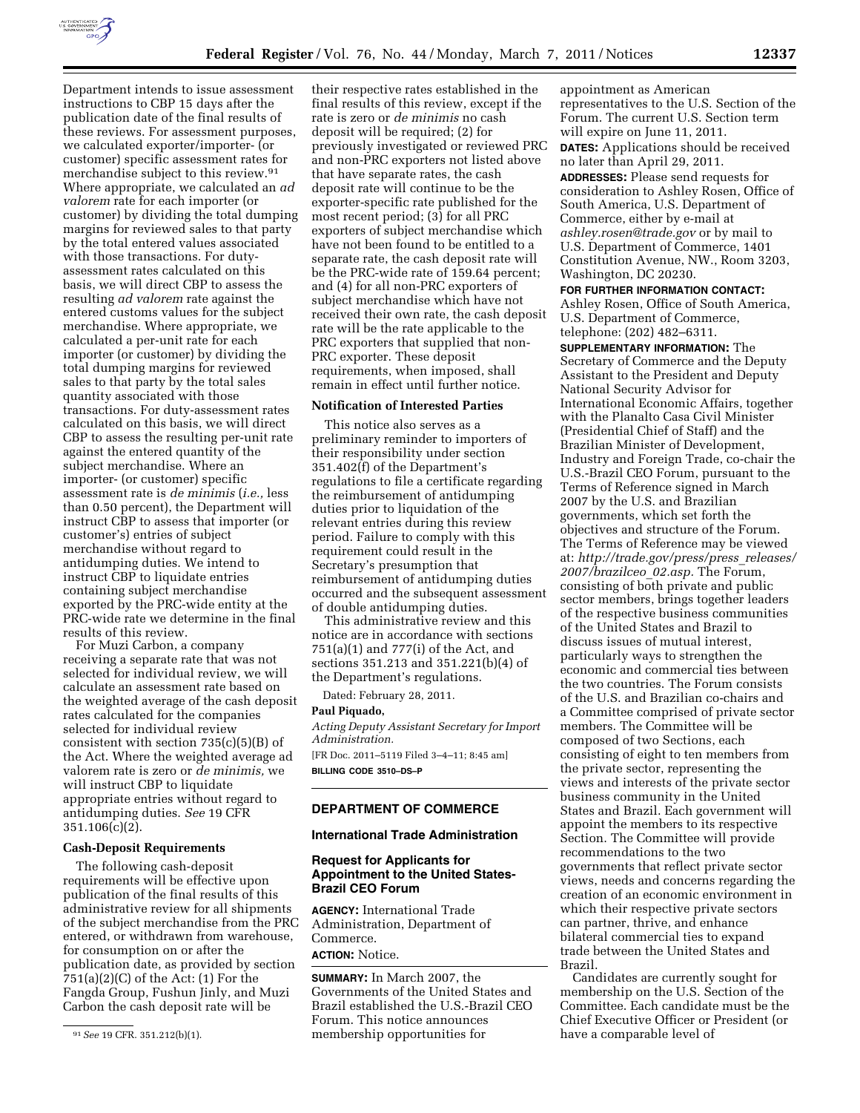

these reviews. For assessment purposes, we calculated exporter/importer- (or customer) specific assessment rates for merchandise subject to this review.91 Where appropriate, we calculated an *ad valorem* rate for each importer (or customer) by dividing the total dumping margins for reviewed sales to that party by the total entered values associated with those transactions. For dutyassessment rates calculated on this basis, we will direct CBP to assess the resulting *ad valorem* rate against the entered customs values for the subject merchandise. Where appropriate, we calculated a per-unit rate for each importer (or customer) by dividing the total dumping margins for reviewed sales to that party by the total sales quantity associated with those transactions. For duty-assessment rates calculated on this basis, we will direct CBP to assess the resulting per-unit rate against the entered quantity of the subject merchandise. Where an importer- (or customer) specific assessment rate is *de minimis* (*i.e.,* less than 0.50 percent), the Department will instruct CBP to assess that importer (or customer's) entries of subject merchandise without regard to antidumping duties. We intend to instruct CBP to liquidate entries containing subject merchandise exported by the PRC-wide entity at the PRC-wide rate we determine in the final results of this review.

Department intends to issue assessment instructions to CBP 15 days after the publication date of the final results of

For Muzi Carbon, a company receiving a separate rate that was not selected for individual review, we will calculate an assessment rate based on the weighted average of the cash deposit rates calculated for the companies selected for individual review consistent with section 735(c)(5)(B) of the Act. Where the weighted average ad valorem rate is zero or *de minimis,* we will instruct CBP to liquidate appropriate entries without regard to antidumping duties. *See* 19 CFR 351.106(c)(2).

#### **Cash-Deposit Requirements**

The following cash-deposit requirements will be effective upon publication of the final results of this administrative review for all shipments of the subject merchandise from the PRC entered, or withdrawn from warehouse, for consumption on or after the publication date, as provided by section 751(a)(2)(C) of the Act: (1) For the Fangda Group, Fushun Jinly, and Muzi Carbon the cash deposit rate will be

rate is zero or *de minimis* no cash deposit will be required; (2) for previously investigated or reviewed PRC and non-PRC exporters not listed above that have separate rates, the cash deposit rate will continue to be the exporter-specific rate published for the most recent period; (3) for all PRC exporters of subject merchandise which have not been found to be entitled to a separate rate, the cash deposit rate will be the PRC-wide rate of 159.64 percent; and (4) for all non-PRC exporters of subject merchandise which have not received their own rate, the cash deposit rate will be the rate applicable to the PRC exporters that supplied that non-PRC exporter. These deposit requirements, when imposed, shall remain in effect until further notice.

# **Notification of Interested Parties**

This notice also serves as a preliminary reminder to importers of their responsibility under section 351.402(f) of the Department's regulations to file a certificate regarding the reimbursement of antidumping duties prior to liquidation of the relevant entries during this review period. Failure to comply with this requirement could result in the Secretary's presumption that reimbursement of antidumping duties occurred and the subsequent assessment of double antidumping duties.

This administrative review and this notice are in accordance with sections 751(a)(1) and 777(i) of the Act, and sections 351.213 and 351.221(b)(4) of the Department's regulations.

Dated: February 28, 2011.

#### **Paul Piquado,**

*Acting Deputy Assistant Secretary for Import Administration.* 

[FR Doc. 2011–5119 Filed 3–4–11; 8:45 am] **BILLING CODE 3510–DS–P** 

## **DEPARTMENT OF COMMERCE**

# **International Trade Administration**

## **Request for Applicants for Appointment to the United States-Brazil CEO Forum**

**AGENCY:** International Trade Administration, Department of Commerce.

# **ACTION:** Notice.

**SUMMARY:** In March 2007, the Governments of the United States and Brazil established the U.S.-Brazil CEO Forum. This notice announces membership opportunities for

appointment as American representatives to the U.S. Section of the Forum. The current U.S. Section term will expire on June 11, 2011. **DATES:** Applications should be received no later than April 29, 2011.

**ADDRESSES:** Please send requests for consideration to Ashley Rosen, Office of South America, U.S. Department of Commerce, either by e-mail at *[ashley.rosen@trade.gov](mailto:ashley.rosen@trade.gov)* or by mail to U.S. Department of Commerce, 1401 Constitution Avenue, NW., Room 3203, Washington, DC 20230.

#### **FOR FURTHER INFORMATION CONTACT:**

Ashley Rosen, Office of South America, U.S. Department of Commerce, telephone: (202) 482–6311.

**SUPPLEMENTARY INFORMATION:** The Secretary of Commerce and the Deputy Assistant to the President and Deputy National Security Advisor for International Economic Affairs, together with the Planalto Casa Civil Minister (Presidential Chief of Staff) and the Brazilian Minister of Development, Industry and Foreign Trade, co-chair the U.S.-Brazil CEO Forum, pursuant to the Terms of Reference signed in March 2007 by the U.S. and Brazilian governments, which set forth the objectives and structure of the Forum. The Terms of Reference may be viewed at: *[http://trade.gov/press/press](http://trade.gov/press/press_releases/2007/brazilceo_02.asp)*\_*releases/ [2007/brazilceo](http://trade.gov/press/press_releases/2007/brazilceo_02.asp)*\_*02.asp.* The Forum, consisting of both private and public sector members, brings together leaders of the respective business communities of the United States and Brazil to discuss issues of mutual interest, particularly ways to strengthen the economic and commercial ties between the two countries. The Forum consists of the U.S. and Brazilian co-chairs and a Committee comprised of private sector members. The Committee will be composed of two Sections, each consisting of eight to ten members from the private sector, representing the views and interests of the private sector business community in the United States and Brazil. Each government will appoint the members to its respective Section. The Committee will provide recommendations to the two governments that reflect private sector views, needs and concerns regarding the creation of an economic environment in which their respective private sectors can partner, thrive, and enhance bilateral commercial ties to expand trade between the United States and Brazil.

Candidates are currently sought for membership on the U.S. Section of the Committee. Each candidate must be the Chief Executive Officer or President (or have a comparable level of

<sup>91</sup>*See* 19 CFR. 351.212(b)(1).